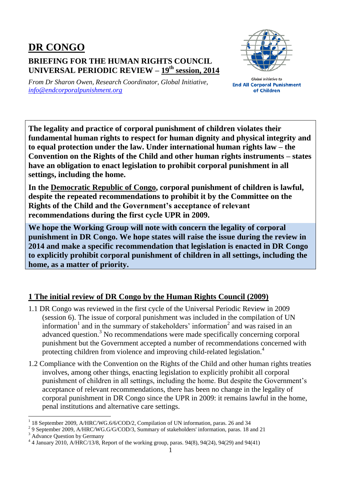## **DR CONGO BRIEFING FOR THE HUMAN RIGHTS COUNCIL UNIVERSAL PERIODIC REVIEW – 19 th session, 2014**



*From Dr Sharon Owen, Research Coordinator, Global Initiative, [info@endcorporalpunishment.org](mailto:info@endcorporalpunishment.org)*

**Global Initiative to End All Corporal Punishment** of Children

**The legality and practice of corporal punishment of children violates their fundamental human rights to respect for human dignity and physical integrity and to equal protection under the law. Under international human rights law – the Convention on the Rights of the Child and other human rights instruments – states have an obligation to enact legislation to prohibit corporal punishment in all settings, including the home.**

**In the Democratic Republic of Congo, corporal punishment of children is lawful, despite the repeated recommendations to prohibit it by the Committee on the Rights of the Child and the Government's acceptance of relevant recommendations during the first cycle UPR in 2009.**

**We hope the Working Group will note with concern the legality of corporal punishment in DR Congo. We hope states will raise the issue during the review in 2014 and make a specific recommendation that legislation is enacted in DR Congo to explicitly prohibit corporal punishment of children in all settings, including the home, as a matter of priority.**

## **1 The initial review of DR Congo by the Human Rights Council (2009)**

- 1.1 DR Congo was reviewed in the first cycle of the Universal Periodic Review in 2009 (session 6). The issue of corporal punishment was included in the compilation of UN information<sup>1</sup> and in the summary of stakeholders' information<sup>2</sup> and was raised in an advanced question.<sup>3</sup> No recommendations were made specifically concerning corporal punishment but the Government accepted a number of recommendations concerned with protecting children from violence and improving child-related legislation.<sup>4</sup>
- 1.2 Compliance with the Convention on the Rights of the Child and other human rights treaties involves, among other things, enacting legislation to explicitly prohibit all corporal punishment of children in all settings, including the home. But despite the Government's acceptance of relevant recommendations, there has been no change in the legality of corporal punishment in DR Congo since the UPR in 2009: it remains lawful in the home, penal institutions and alternative care settings.

 $\overline{a}$ 

<sup>1</sup> 18 September 2009, A/HRC/WG.6/6/COD/2, Compilation of UN information, paras. 26 and 34

<sup>&</sup>lt;sup>2</sup> 9 September 2009, A/HRC/WG.G/G/COD/3, Summary of stakeholders' information, paras. 18 and 21

<sup>&</sup>lt;sup>3</sup> Advance Question by Germany

<sup>4</sup> 4 January 2010, A/HRC/13/8, Report of the working group, paras. 94(8), 94(24), 94(29) and 94(41)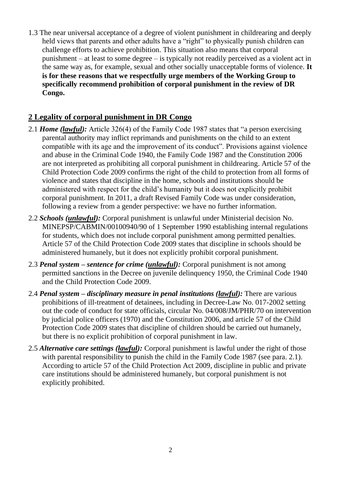1.3 The near universal acceptance of a degree of violent punishment in childrearing and deeply held views that parents and other adults have a "right" to physically punish children can challenge efforts to achieve prohibition. This situation also means that corporal punishment – at least to some degree – is typically not readily perceived as a violent act in the same way as, for example, sexual and other socially unacceptable forms of violence. **It is for these reasons that we respectfully urge members of the Working Group to specifically recommend prohibition of corporal punishment in the review of DR Congo.**

## **2 Legality of corporal punishment in DR Congo**

- 2.1 *Home (lawful):* Article 326(4) of the Family Code 1987 states that "a person exercising parental authority may inflict reprimands and punishments on the child to an extent compatible with its age and the improvement of its conduct". Provisions against violence and abuse in the Criminal Code 1940, the Family Code 1987 and the Constitution 2006 are not interpreted as prohibiting all corporal punishment in childrearing. Article 57 of the Child Protection Code 2009 confirms the right of the child to protection from all forms of violence and states that discipline in the home, schools and institutions should be administered with respect for the child's humanity but it does not explicitly prohibit corporal punishment. In 2011, a draft Revised Family Code was under consideration, following a review from a gender perspective: we have no further information.
- 2.2 *Schools (unlawful):* Corporal punishment is unlawful under Ministerial decision No. MINEPSP/CABMIN/00100940/90 of 1 September 1990 establishing internal regulations for students, which does not include corporal punishment among permitted penalties. Article 57 of the Child Protection Code 2009 states that discipline in schools should be administered humanely, but it does not explicitly prohibit corporal punishment.
- 2.3 *Penal system – sentence for crime (unlawful):* Corporal punishment is not among permitted sanctions in the Decree on juvenile delinquency 1950, the Criminal Code 1940 and the Child Protection Code 2009.
- 2.4 *Penal system – disciplinary measure in penal institutions (lawful):* There are various prohibitions of ill-treatment of detainees, including in Decree-Law No. 017-2002 setting out the code of conduct for state officials, circular No. 04/008/JM/PHR/70 on intervention by judicial police officers (1970) and the Constitution 2006, and article 57 of the Child Protection Code 2009 states that discipline of children should be carried out humanely, but there is no explicit prohibition of corporal punishment in law.
- 2.5 *Alternative care settings (lawful):* Corporal punishment is lawful under the right of those with parental responsibility to punish the child in the Family Code 1987 (see para. 2.1). According to article 57 of the Child Protection Act 2009, discipline in public and private care institutions should be administered humanely, but corporal punishment is not explicitly prohibited.